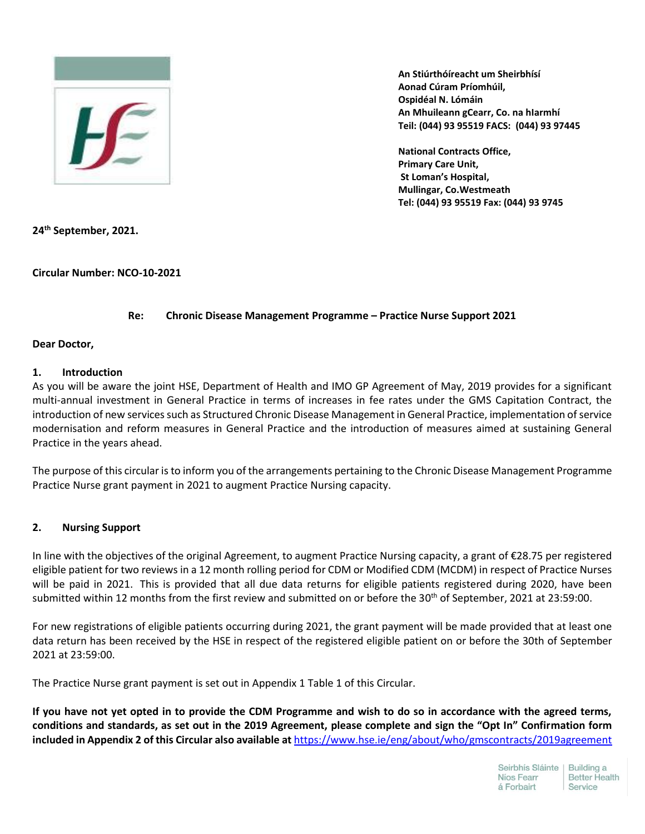

**An Stiúrthóíreacht um Sheirbhísí Aonad Cúram Príomhúil, Ospidéal N. Lómáin An Mhuileann gCearr, Co. na hIarmhí Teil: (044) 93 95519 FACS: (044) 93 97445**

**National Contracts Office, Primary Care Unit, St Loman's Hospital, Mullingar, Co.Westmeath Tel: (044) 93 95519 Fax: (044) 93 9745**

**24th September, 2021.**

**Circular Number: NCO-10-2021**

## **Re: Chronic Disease Management Programme – Practice Nurse Support 2021**

### **Dear Doctor,**

### **1. Introduction**

As you will be aware the joint HSE, Department of Health and IMO GP Agreement of May, 2019 provides for a significant multi-annual investment in General Practice in terms of increases in fee rates under the GMS Capitation Contract, the introduction of new services such as Structured Chronic Disease Management in General Practice, implementation of service modernisation and reform measures in General Practice and the introduction of measures aimed at sustaining General Practice in the years ahead.

The purpose of this circular is to inform you of the arrangements pertaining to the Chronic Disease Management Programme Practice Nurse grant payment in 2021 to augment Practice Nursing capacity.

### **2. Nursing Support**

In line with the objectives of the original Agreement, to augment Practice Nursing capacity, a grant of €28.75 per registered eligible patient for two reviews in a 12 month rolling period for CDM or Modified CDM (MCDM) in respect of Practice Nurses will be paid in 2021. This is provided that all due data returns for eligible patients registered during 2020, have been submitted within 12 months from the first review and submitted on or before the 30<sup>th</sup> of September, 2021 at 23:59:00.

For new registrations of eligible patients occurring during 2021, the grant payment will be made provided that at least one data return has been received by the HSE in respect of the registered eligible patient on or before the 30th of September 2021 at 23:59:00.

The Practice Nurse grant payment is set out in Appendix 1 Table 1 of this Circular.

**If you have not yet opted in to provide the CDM Programme and wish to do so in accordance with the agreed terms, conditions and standards, as set out in the 2019 Agreement, please complete and sign the "Opt In" Confirmation form included in Appendix 2 of this Circular also available at** <https://www.hse.ie/eng/about/who/gmscontracts/2019agreement>

| Seirbhís Sláinte | <b>Building a</b>    |
|------------------|----------------------|
| Níos Fearr       | <b>Better Health</b> |
| á Forbairt       | Service              |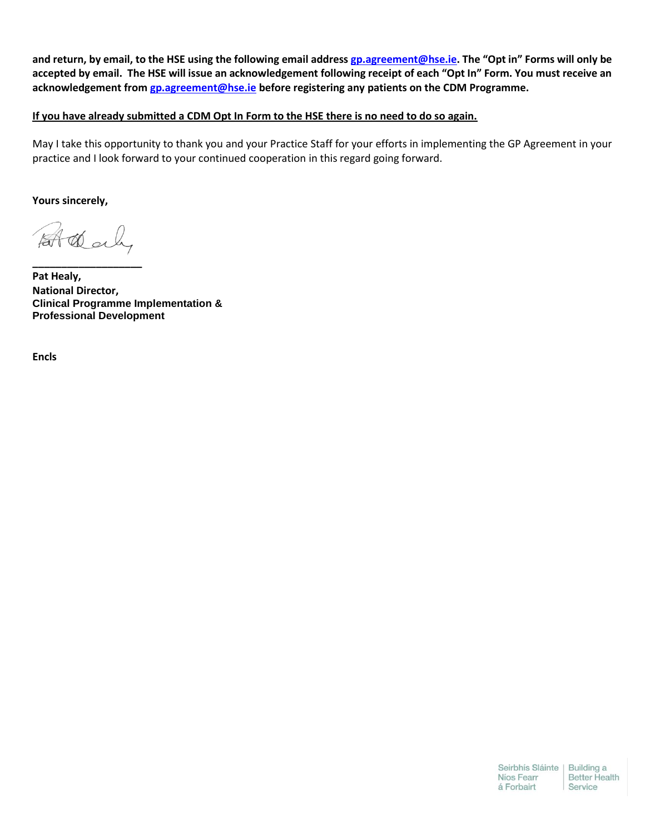**and return, by email, to the HSE using the following email address [gp.agreement@hse.ie](mailto:gp.agreement@hse.ie). The "Opt in" Forms will only be accepted by email. The HSE will issue an acknowledgement following receipt of each "Opt In" Form. You must receive an acknowledgement fro[m gp.agreement@hse.ie](mailto:gp.agreement@hse.ie) before registering any patients on the CDM Programme.**

**If you have already submitted a CDM Opt In Form to the HSE there is no need to do so again.** 

May I take this opportunity to thank you and your Practice Staff for your efforts in implementing the GP Agreement in your practice and I look forward to your continued cooperation in this regard going forward.

**Yours sincerely,** 

At dealy

**\_\_\_\_\_\_\_\_\_\_\_\_\_\_\_\_\_\_\_**

**Pat Healy, National Director, Clinical Programme Implementation & Professional Development**

**Encls**

Seirbhís Sláinte | Building a Níos Fearr **Better Health** á Forbairt Service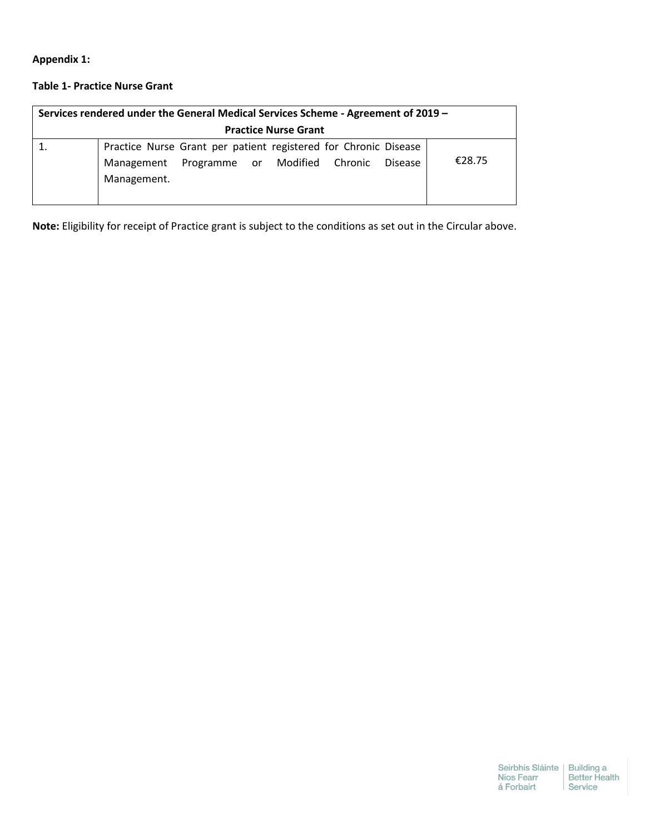**Appendix 1:**

# **Table 1- Practice Nurse Grant**

| Services rendered under the General Medical Services Scheme - Agreement of 2019 - |                                                                                                                                       |        |  |  |  |  |  |  |
|-----------------------------------------------------------------------------------|---------------------------------------------------------------------------------------------------------------------------------------|--------|--|--|--|--|--|--|
| <b>Practice Nurse Grant</b>                                                       |                                                                                                                                       |        |  |  |  |  |  |  |
|                                                                                   | Practice Nurse Grant per patient registered for Chronic Disease<br>Management Programme or Modified Chronic<br>Disease<br>Management. | €28.75 |  |  |  |  |  |  |

**Note:** Eligibility for receipt of Practice grant is subject to the conditions as set out in the Circular above.

Seirbhís Sláinte | Building a<br>Níos Fearr | Better Health<br>á Forbairt | Service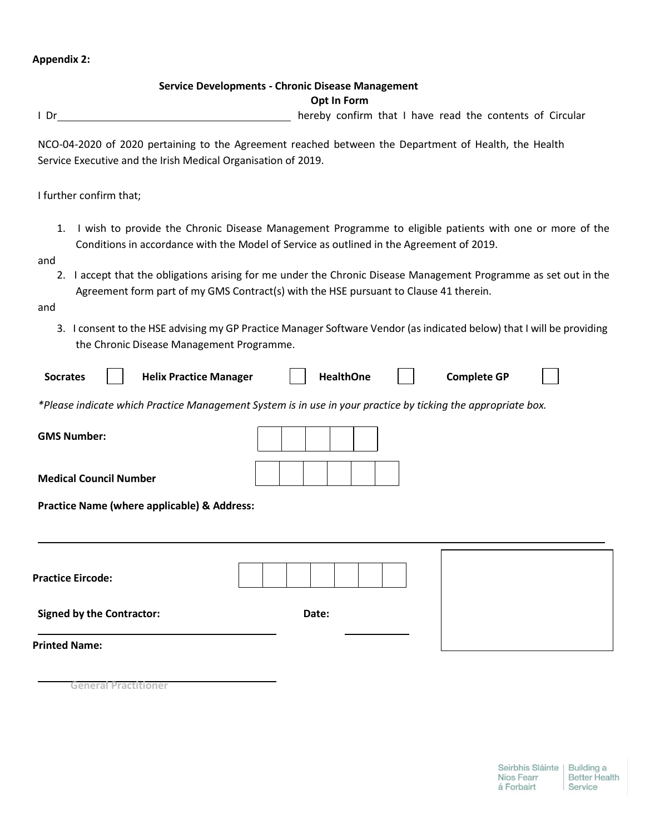## **Appendix 2:**

## **Service Developments - Chronic Disease Management**

## **Opt In Form**

I Dr hereby confirm that I have read the contents of Circular

NCO-04-2020 of 2020 pertaining to the Agreement reached between the Department of Health, the Health Service Executive and the Irish Medical Organisation of 2019.

I further confirm that;

1. I wish to provide the Chronic Disease Management Programme to eligible patients with one or more of the Conditions in accordance with the Model of Service as outlined in the Agreement of 2019.

and

2. I accept that the obligations arising for me under the Chronic Disease Management Programme as set out in the Agreement form part of my GMS Contract(s) with the HSE pursuant to Clause 41 therein.

and

3. I consent to the HSE advising my GP Practice Manager Software Vendor (as indicated below) that I will be providing the Chronic Disease Management Programme.

| <b>Socrates</b> |  | <b>Helix Practice Manager</b> |  | <b>HealthOne</b> |  | <b>Complete GP</b> |  |
|-----------------|--|-------------------------------|--|------------------|--|--------------------|--|
|-----------------|--|-------------------------------|--|------------------|--|--------------------|--|

*\*Please indicate which Practice Management System is in use in your practice by ticking the appropriate box.*

| <b>GMS Number:</b>                          |       |  |  |  |  |  |
|---------------------------------------------|-------|--|--|--|--|--|
| <b>Medical Council Number</b>               |       |  |  |  |  |  |
| Practice Name (where applicable) & Address: |       |  |  |  |  |  |
|                                             |       |  |  |  |  |  |
| <b>Practice Eircode:</b>                    |       |  |  |  |  |  |
| <b>Signed by the Contractor:</b>            | Date: |  |  |  |  |  |
| <b>Printed Name:</b>                        |       |  |  |  |  |  |

**General Practitioner**